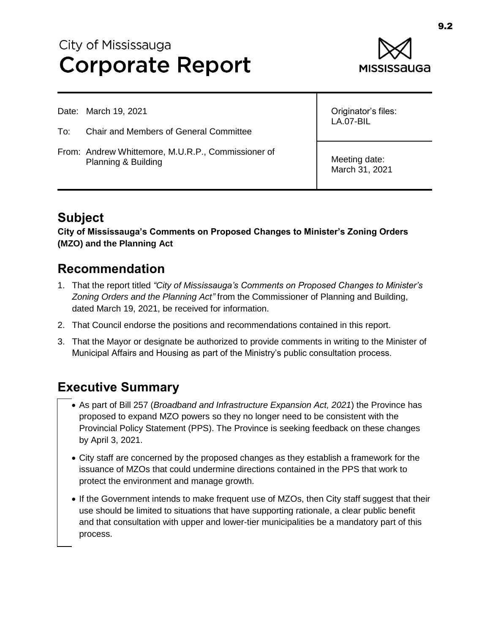# City of Mississauga **Corporate Report**



Date: March 19, 2021

- To: Chair and Members of General Committee
- From: Andrew Whittemore, M.U.R.P., Commissioner of Planning & Building

Originator's files: LA.07-BIL

Meeting date: March 31, 2021

# **Subject**

**City of Mississauga's Comments on Proposed Changes to Minister's Zoning Orders (MZO) and the Planning Act**

#### **Recommendation**

- 1. That the report titled *"City of Mississauga's Comments on Proposed Changes to Minister's Zoning Orders and the Planning Act"* from the Commissioner of Planning and Building, dated March 19, 2021, be received for information.
- 2. That Council endorse the positions and recommendations contained in this report.
- 3. That the Mayor or designate be authorized to provide comments in writing to the Minister of Municipal Affairs and Housing as part of the Ministry's public consultation process.

# **Executive Summary**

- As part of Bill 257 (*Broadband and Infrastructure Expansion Act, 2021*) the Province has proposed to expand MZO powers so they no longer need to be consistent with the Provincial Policy Statement (PPS). The Province is seeking feedback on these changes by April 3, 2021.
- City staff are concerned by the proposed changes as they establish a framework for the issuance of MZOs that could undermine directions contained in the PPS that work to protect the environment and manage growth.
- If the Government intends to make frequent use of MZOs, then City staff suggest that their use should be limited to situations that have supporting rationale, a clear public benefit and that consultation with upper and lower-tier municipalities be a mandatory part of this process.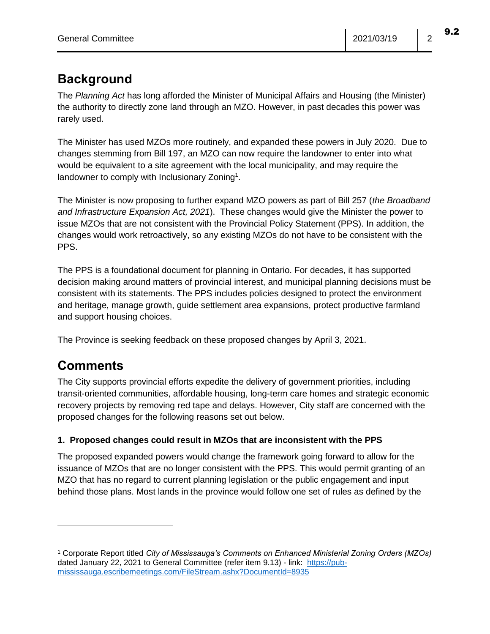### **Background**

The *Planning Act* has long afforded the Minister of Municipal Affairs and Housing (the Minister) the authority to directly zone land through an MZO. However, in past decades this power was rarely used.

The Minister has used MZOs more routinely, and expanded these powers in July 2020. Due to changes stemming from Bill 197, an MZO can now require the landowner to enter into what would be equivalent to a site agreement with the local municipality, and may require the landowner to comply with Inclusionary Zoning<sup>1</sup>.

The Minister is now proposing to further expand MZO powers as part of Bill 257 (*the Broadband and Infrastructure Expansion Act, 2021*). These changes would give the Minister the power to issue MZOs that are not consistent with the Provincial Policy Statement (PPS). In addition, the changes would work retroactively, so any existing MZOs do not have to be consistent with the PPS.

The PPS is a foundational document for planning in Ontario. For decades, it has supported decision making around matters of provincial interest, and municipal planning decisions must be consistent with its statements. The PPS includes policies designed to protect the environment and heritage, manage growth, guide settlement area expansions, protect productive farmland and support housing choices.

The Province is seeking feedback on these proposed changes by April 3, 2021.

# **Comments**

The City supports provincial efforts expedite the delivery of government priorities, including transit-oriented communities, affordable housing, long-term care homes and strategic economic recovery projects by removing red tape and delays. However, City staff are concerned with the proposed changes for the following reasons set out below.

#### **1. Proposed changes could result in MZOs that are inconsistent with the PPS**

The proposed expanded powers would change the framework going forward to allow for the issuance of MZOs that are no longer consistent with the PPS. This would permit granting of an MZO that has no regard to current planning legislation or the public engagement and input behind those plans. Most lands in the province would follow one set of rules as defined by the

<sup>1</sup> Corporate Report titled *City of Mississauga's Comments on Enhanced Ministerial Zoning Orders (MZOs)* dated January 22, 2021 to General Committee (refer item 9.13) - link: [https://pub](https://pub-mississauga.escribemeetings.com/FileStream.ashx?DocumentId=8935)[mississauga.escribemeetings.com/FileStream.ashx?DocumentId=8935](https://pub-mississauga.escribemeetings.com/FileStream.ashx?DocumentId=8935)